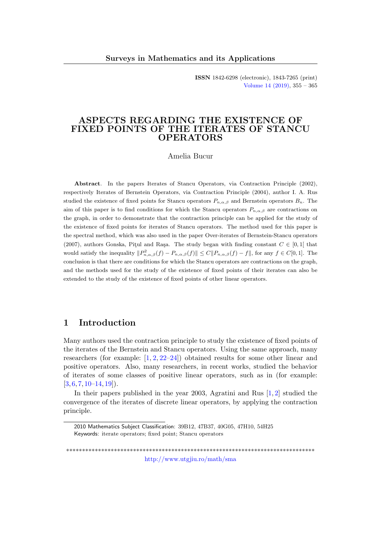ISSN 1842-6298 (electronic), 1843-7265 (print) [Volume 14 \(2019\),](http://www.utgjiu.ro/math/sma/v14/v14.html) 355 – 365

## ASPECTS REGARDING THE EXISTENCE OF FIXED POINTS OF THE ITERATES OF STANCU OPERATORS

#### Amelia Bucur

Abstract. In the papers Iterates of Stancu Operators, via Contraction Principle (2002), respectively Iterates of Bernstein Operators, via Contraction Principle (2004), author I. A. Rus studied the existence of fixed points for Stancu operators  $P_{n,\alpha,\beta}$  and Bernstein operators  $B_n$ . The aim of this paper is to find conditions for which the Stancu operators  $P_{n,\alpha,\beta}$  are contractions on the graph, in order to demonstrate that the contraction principle can be applied for the study of the existence of fixed points for iterates of Stancu operators. The method used for this paper is the spectral method, which was also used in the paper Over-iterates of Bernstein-Stancu operators (2007), authors Gonska, Pitul and Raşa. The study began with finding constant  $C \in [0,1]$  that would satisfy the inequality  $||P_{n,\alpha,\beta}^2(f) - P_{n,\alpha,\beta}(f)|| \leq C||P_{n,\alpha,\beta}(f) - f||$ , for any  $f \in C[0,1]$ . The conclusion is that there are conditions for which the Stancu operators are contractions on the graph, and the methods used for the study of the existence of fixed points of their iterates can also be extended to the study of the existence of fixed points of other linear operators.

### 1 Introduction

Many authors used the contraction principle to study the existence of fixed points of the iterates of the Bernstein and Stancu operators. Using the same approach, many researchers (for example: [\[1,](#page-8-0) [2,](#page-8-1) [22–](#page-9-0)[24\]](#page-9-1)) obtained results for some other linear and positive operators. Also, many researchers, in recent works, studied the behavior of iterates of some classes of positive linear operators, such as in (for example:  $[3, 6, 7, 10–14, 19]$  $[3, 6, 7, 10–14, 19]$  $[3, 6, 7, 10–14, 19]$  $[3, 6, 7, 10–14, 19]$  $[3, 6, 7, 10–14, 19]$  $[3, 6, 7, 10–14, 19]$  $[3, 6, 7, 10–14, 19]$  $[3, 6, 7, 10–14, 19]$  $[3, 6, 7, 10–14, 19]$  $[3, 6, 7, 10–14, 19]$ .

In their papers published in the year 2003, Agratini and Rus [\[1,](#page-8-0) [2\]](#page-8-1) studied the convergence of the iterates of discrete linear operators, by applying the contraction principle.

\*\*\*\*\*\*\*\*\*\*\*\*\*\*\*\*\*\*\*\*\*\*\*\*\*\*\*\*\*\*\*\*\*\*\*\*\*\*\*\*\*\*\*\*\*\*\*\*\*\*\*\*\*\*\*\*\*\*\*\*\*\*\*\*\*\*\*\*\*\*\*\*\*\*\*\*\*\* <http://www.utgjiu.ro/math/sma>

<sup>2010</sup> Mathematics Subject Classification: 39B12, 47B37, 40G05, 47H10, 54H25 Keywords: iterate operators; fixed point; Stancu operators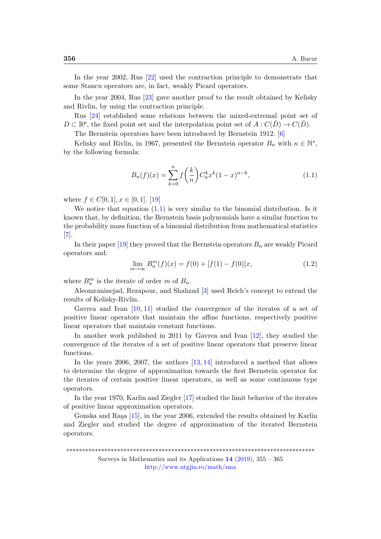In the year 2002, Rus [\[22\]](#page-9-0) used the contraction principle to demonstrate that some Stancu operators are, in fact, weakly Picard operators.

In the year 2004, Rus [\[23\]](#page-9-4) gave another proof to the result obtained by Kelisky and Rivlin, by using the contraction principle.

Rus [\[24\]](#page-9-1) established some relations between the mixed-extremal point set of  $D \subset \mathbb{R}^p$ , the fixed point set and the interpolation point set of  $A: C(\overline{D}) \to C(\overline{D})$ .

The Bernstein operators have been introduced by Bernstein 1912. [\[6\]](#page-8-3)

Kelisky and Rivlin, in 1967, presented the Bernstein operator  $B_n$  with  $n \in \mathbb{N}^*$ , by the following formula:

<span id="page-1-0"></span>
$$
B_n(f)(x) = \sum_{k=0}^n f\left(\frac{k}{n}\right) C_n^k x^k (1-x)^{n-k},\tag{1.1}
$$

where  $f \in C[0,1], x \in [0,1]$ . [\[19\]](#page-9-3)

We notice that equation  $(1.1)$  is very similar to the binomial distribution. Is it known that, by definition, the Bernstein basis polynomials have a similar function to the probability mass function of a binomial distribution from mathematical statistics [\[7\]](#page-8-4).

In their paper [\[19\]](#page-9-3) they proved that the Bernstein operators  $B_n$  are weakly Picard operators and:

$$
\lim_{m \to \infty} B_n^m(f)(x) = f(0) + [f(1) - f(0)]x,\tag{1.2}
$$

where  $B_n^m$  is the iterate of order m of  $B_n$ .

Aleomraninejad, Rezapour, and Shahzad [\[3\]](#page-8-2) used Reich's concept to extend the results of Kelisky-Rivlin.

Gavrea and Ivan [\[10,](#page-8-5) [11\]](#page-9-5) studied the convergence of the iterates of a set of positive linear operators that maintain the affine functions, respectively positive linear operators that maintain constant functions.

In another work published in 2011 by Gavrea and Ivan [\[12\]](#page-9-6), they studied the convergence of the iterates of a set of positive linear operators that preserve linear functions.

In the years 2006, 2007, the authors [\[13,](#page-9-7) [14\]](#page-9-2) introduced a method that allows to determine the degree of approximation towards the first Bernstein operator for the iterates of certain positive linear operators, as well as some continuous type operators.

In the year 1970, Karlin and Ziegler [\[17\]](#page-9-8) studied the limit behavior of the iterates of positive linear approximation operators.

Gonska and Rașa  $[15]$ , in the year 2006, extended the results obtained by Karlin and Ziegler and studied the degree of approximation of the iterated Bernstein operators.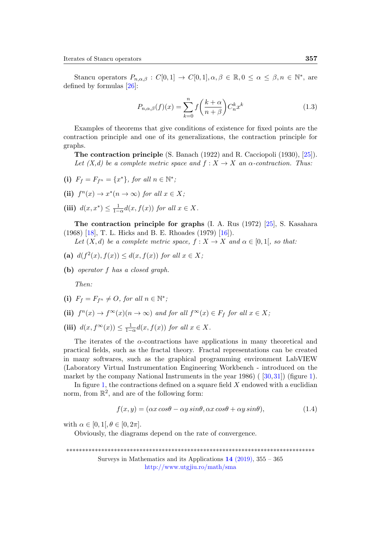Stancu operators  $P_{n,\alpha,\beta} : C[0,1] \to C[0,1], \alpha, \beta \in \mathbb{R}, 0 \leq \alpha \leq \beta, n \in \mathbb{N}^*$ , are defined by formulas [\[26\]](#page-10-0):

$$
P_{n,\alpha,\beta}(f)(x) = \sum_{k=0}^{n} f\left(\frac{k+\alpha}{n+\beta}\right) C_n^k x^k
$$
\n(1.3)

Examples of theorems that give conditions of existence for fixed points are the contraction principle and one of its generalizations, the contraction principle for graphs.

The contraction principle (S. Banach (1922) and R. Cacciopoli (1930), [\[25\]](#page-9-10)). Let  $(X,d)$  be a complete metric space and  $f : X \to X$  an  $\alpha$ -contraction. Thus:

- (i)  $F_f = F_{f^n} = \{x^*\}, \text{ for all } n \in \mathbb{N}^*,$
- (ii)  $f^{n}(x) \rightarrow x^{*}(n \rightarrow \infty)$  for all  $x \in X$ ;
- (iii)  $d(x, x^*) \leq \frac{1}{1-\alpha} d(x, f(x))$  for all  $x \in X$ .

The contraction principle for graphs (I. A. Rus (1972) [\[25\]](#page-9-10), S. Kasahara (1968) [\[18\]](#page-9-11), T. L. Hicks and B. E. Rhoades (1979) [\[16\]](#page-9-12)).

Let  $(X, d)$  be a complete metric space,  $f : X \to X$  and  $\alpha \in [0, 1]$ , so that:

- (a)  $d(f^2(x), f(x)) \leq d(x, f(x))$  for all  $x \in X$ ;
- (b) operator f has a closed graph.

Then:

- (i)  $F_f = F_{f^n} \neq O$ , for all  $n \in \mathbb{N}^*$ ;
- (ii)  $f^{n}(x) \to f^{\infty}(x) (n \to \infty)$  and for all  $f^{\infty}(x) \in F_{f}$  for all  $x \in X$ ;
- (iii)  $d(x, f^{\infty}(x)) \leq \frac{1}{1-\alpha} d(x, f(x))$  for all  $x \in X$ .

The iterates of the  $\alpha$ -contractions have applications in many theoretical and practical fields, such as the fractal theory. Fractal representations can be created in many softwares, such as the graphical programming environment LabVIEW (Laboratory Virtual Instrumentation Engineering Workbench - introduced on the market by the company National Instruments in the year  $1986$ ) ( [\[30,](#page-10-1)[31\]](#page-10-2)) (figure [1\)](#page-3-0).

In figure [1,](#page-3-0) the contractions defined on a square field  $X$  endowed with a euclidian norm, from  $\mathbb{R}^2$ , and are of the following form:

$$
f(x,y) = (\alpha x \cos \theta - \alpha y \sin \theta, \alpha x \cos \theta + \alpha y \sin \theta), \tag{1.4}
$$

with  $\alpha \in [0, 1], \theta \in [0, 2\pi].$ 

Obviously, the diagrams depend on the rate of convergence.

\*\*\*\*\*\*\*\*\*\*\*\*\*\*\*\*\*\*\*\*\*\*\*\*\*\*\*\*\*\*\*\*\*\*\*\*\*\*\*\*\*\*\*\*\*\*\*\*\*\*\*\*\*\*\*\*\*\*\*\*\*\*\*\*\*\*\*\*\*\*\*\*\*\*\*\*\*\*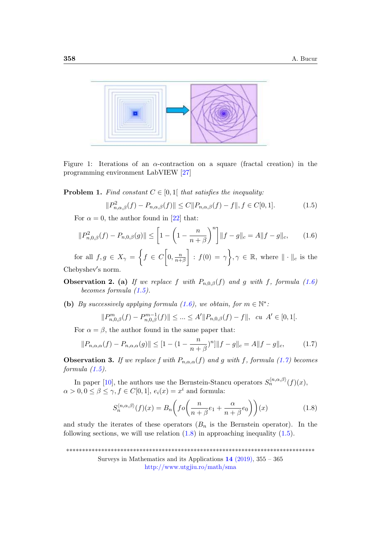

<span id="page-3-0"></span>Figure 1: Iterations of an  $\alpha$ -contraction on a square (fractal creation) in the programming environment LabVIEW [\[27\]](#page-10-3)

<span id="page-3-5"></span>**Problem 1.** Find constant  $C \in [0,1]$  that satisfies the inequality:

<span id="page-3-2"></span>
$$
||P_{n,\alpha,\beta}^2(f) - P_{n,\alpha,\beta}(f)|| \le C||P_{n,\alpha,\beta}(f) - f||, f \in C[0,1].
$$
\n(1.5)

For  $\alpha = 0$ , the author found in [\[22\]](#page-9-0) that:

<span id="page-3-1"></span>
$$
||P_{n,0,\beta}^{2}(f) - P_{n,0,\beta}(g)|| \le \left[1 - \left(1 - \frac{n}{n+\beta}\right)^{n}\right]||f - g||_{c} = A||f - g||_{c}, \qquad (1.6)
$$

for all  $f, g \in X_\gamma = \left\{ f \in C \middle| 0, \frac{n}{n+1} \right\}$  $\overline{n+\beta}$  $\Big] : f(0) = \gamma \Big\}, \gamma \in \mathbb{R}, \text{ where } \|\cdot\|_c \text{ is the }$ Chebyshev′ s norm.

**Observation 2.** (a) If we replace f with  $P_{n,0,\beta}(f)$  and g with f, formula [\(1.6\)](#page-3-1) becomes formula [\(1.5\)](#page-3-2).

(b) By successively applying formula [\(1.6\)](#page-3-1), we obtain, for  $m \in \mathbb{N}^*$ .

$$
||P_{n,0,\beta}^{m}(f) - P_{n,0,\beta}^{m-1}(f)|| \leq \dots \leq A'||P_{n,0,\beta}(f) - f||, \quad cu \ \ A' \in [0,1[.
$$

For  $\alpha = \beta$ , the author found in the same paper that:

<span id="page-3-3"></span>
$$
||P_{n,\alpha,\alpha}(f) - P_{n,\alpha,\alpha}(g)|| \le [1 - (1 - \frac{n}{n+\beta})^n] ||f - g||_c = A ||f - g||_c,
$$
 (1.7)

**Observation 3.** If we replace f with  $P_{n,\alpha,\alpha}(f)$  and g with f, formula [\(1.7\)](#page-3-3) becomes formula  $(1.5)$ .

In paper [\[10\]](#page-8-5), the authors use the Bernstein-Stancu operators  $S_n^{\langle n,\alpha,\beta\rangle}(f)(x)$ ,  $\alpha > 0, 0 \le \beta \le \gamma, f \in C[0,1], e_i(x) = x^i$  and formula:

<span id="page-3-4"></span>
$$
S_n^{\langle n,\alpha,\beta\rangle}(f)(x) = B_n\bigg(fo\bigg(\frac{n}{n+\beta}e_1 + \frac{\alpha}{n+\beta}e_0\bigg)\bigg)(x)
$$
 (1.8)

and study the iterates of these operators  $(B_n$  is the Bernstein operator). In the following sections, we will use relation  $(1.8)$  in approaching inequality  $(1.5)$ .

\*\*\*\*\*\*\*\*\*\*\*\*\*\*\*\*\*\*\*\*\*\*\*\*\*\*\*\*\*\*\*\*\*\*\*\*\*\*\*\*\*\*\*\*\*\*\*\*\*\*\*\*\*\*\*\*\*\*\*\*\*\*\*\*\*\*\*\*\*\*\*\*\*\*\*\*\*\*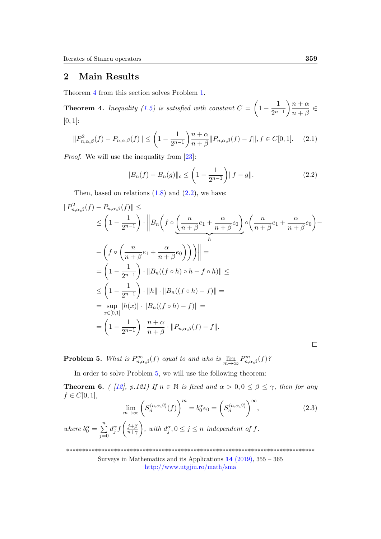# 2 Main Results

Theorem [4](#page-4-0) from this section solves Problem [1.](#page-3-5)

<span id="page-4-0"></span>**Theorem 4.** Inequality [\(1.5\)](#page-3-2) is satisfied with constant  $C = \left(1 - \frac{1}{2m}\right)$  $2^{n-1}$  $\big\backslash n+\alpha$  $\frac{n+\alpha}{n+\beta} \in$  $[0, 1[$ :

$$
||P_{n,\alpha,\beta}^2(f) - P_{n,\alpha,\beta}(f)|| \le \left(1 - \frac{1}{2^{n-1}}\right) \frac{n+\alpha}{n+\beta} ||P_{n,\alpha,\beta}(f) - f||, f \in C[0,1]. \tag{2.1}
$$

Proof. We will use the inequality from [\[23\]](#page-9-4):

<span id="page-4-1"></span>
$$
||B_n(f) - B_n(g)||_c \le \left(1 - \frac{1}{2^{n-1}}\right) ||f - g||. \tag{2.2}
$$

Then, based on relations  $(1.8)$  and  $(2.2)$ , we have:

$$
||P_{n,\alpha,\beta}^{2}(f) - P_{n,\alpha,\beta}(f)|| \le
$$
  
\n
$$
\leq \left(1 - \frac{1}{2^{n-1}}\right) \cdot \left||B_{n}\left(f \circ \left(\frac{n}{n+\beta}e_1 + \frac{\alpha}{n+\beta}e_0\right) \circ \left(\frac{n}{n+\beta}e_1 + \frac{\alpha}{n+\beta}e_0\right) - \left(f \circ \left(\frac{n}{n+\beta}e_1 + \frac{\alpha}{n+\beta}e_0\right)\right)\right)|| =
$$
  
\n
$$
= \left(1 - \frac{1}{2^{n-1}}\right) \cdot ||B_{n}((f \circ h) \circ h - f \circ h)|| \le
$$
  
\n
$$
\leq \left(1 - \frac{1}{2^{n-1}}\right) \cdot ||h|| \cdot ||B_{n}((f \circ h) - f)|| =
$$
  
\n
$$
= \sup_{x \in [0,1]} |h(x)| \cdot ||B_{n}((f \circ h) - f)|| =
$$
  
\n
$$
= \left(1 - \frac{1}{2^{n-1}}\right) \cdot \frac{n+\alpha}{n+\beta} \cdot ||P_{n,\alpha,\beta}(f) - f||.
$$

<span id="page-4-2"></span>**Problem 5.** What is  $P_{n,\alpha,\beta}^{\infty}(f)$  equal to and who is  $\lim_{m\to\infty}P_{n,\alpha,\beta}^m(f)$ ?

In order to solve Problem [5,](#page-4-2) we will use the following theorem:

<span id="page-4-3"></span>**Theorem 6.** ( [\[12\]](#page-9-6), p.121) If  $n \in \mathbb{N}$  is fixed and  $\alpha > 0, 0 \le \beta \le \gamma$ , then for any  $f \in C[0,1],$ 

<span id="page-4-4"></span>
$$
\lim_{m \to \infty} \left( S_n^{\langle n, \alpha, \beta \rangle}(f) \right)^m = b_0^{\alpha} e_0 = \left( S_n^{\langle n, \alpha, \beta \rangle} \right)^{\infty},\tag{2.3}
$$

where  $b_0^{\alpha} = \sum_{n=1}^{\infty}$  $j=0$  $d_j^{\alpha} f\left(\frac{j+\beta}{n+\gamma}\right)$  $\overline{n+\gamma}$  $\Big), \text{ with } d_j^{\alpha}, 0 \leq j \leq n \text{ independent of } f.$ 

\*\*\*\*\*\*\*\*\*\*\*\*\*\*\*\*\*\*\*\*\*\*\*\*\*\*\*\*\*\*\*\*\*\*\*\*\*\*\*\*\*\*\*\*\*\*\*\*\*\*\*\*\*\*\*\*\*\*\*\*\*\*\*\*\*\*\*\*\*\*\*\*\*\*\*\*\*\*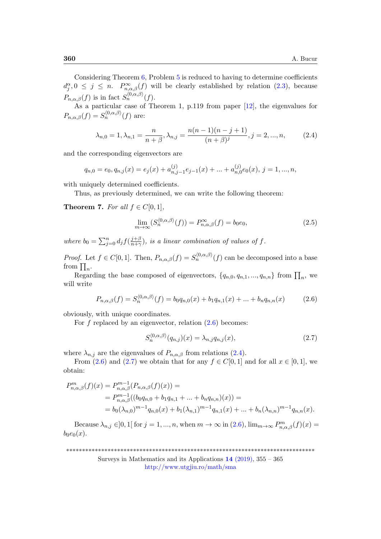Considering Theorem  $6$ , Problem  $5$  is reduced to having to determine coefficients  $d_j^{\alpha}, 0 \leq j \leq n$ .  $P_{n,\alpha,\beta}^{\infty}(f)$  will be clearly established by relation  $(2.3)$ , because  $P_{n,\alpha,\beta}(f)$  is in fact  $S_n^{\langle 0,\alpha,\beta\rangle}(f)$ .

As a particular case of Theorem 1, p.119 from paper [\[12\]](#page-9-6), the eigenvalues for  $P_{n,\alpha,\beta}(f) = S_n^{\langle 0,\alpha,\beta\rangle}(f)$  are:

<span id="page-5-1"></span>
$$
\lambda_{n,0} = 1, \lambda_{n,1} = \frac{n}{n+\beta}, \lambda_{n,j} = \frac{n(n-1)(n-j+1)}{(n+\beta)^j}, j = 2, ..., n,
$$
 (2.4)

and the corresponding eigenvectors are

$$
q_{n,0} = e_0, q_{n,j}(x) = e_j(x) + a_{n,j-1}^{(j)}e_{j-1}(x) + \dots + a_{n,0}^{(j)}e_0(x), \ j = 1, \dots, n,
$$

with uniquely determined coefficients.

Thus, as previously determined, we can write the following theorem:

Theorem 7. For all  $f \in C[0,1]$ ,

$$
\lim_{m \to \infty} (S_n^{\langle 0, \alpha, \beta \rangle}(f)) = P_{n, \alpha, \beta}^{\infty}(f) = b_0 e_0,
$$
\n(2.5)

where  $b_0 = \sum_{j=0}^n d_j f(\frac{j+\beta}{n+\gamma})$  $\frac{j+\beta}{n+\gamma}$ ), is a linear combination of values of f.

*Proof.* Let  $f \in C[0,1]$ . Then,  $P_{n,\alpha,\beta}(f) = S_n^{\langle 0,\alpha,\beta \rangle}(f)$  can be decomposed into a base from  $\prod_n$ .

Regarding the base composed of eigenvectors,  $\{q_{n,0}, q_{n,1}, ..., q_{n,n}\}$  from  $\prod_n$ , we will write

<span id="page-5-0"></span>
$$
P_{n,\alpha,\beta}(f) = S_n^{\langle 0,\alpha,\beta\rangle}(f) = b_0 q_{n,0}(x) + b_1 q_{n,1}(x) + \dots + b_n q_{n,n}(x) \tag{2.6}
$$

obviously, with unique coordinates.

For f replaced by an eigenvector, relation  $(2.6)$  becomes:

<span id="page-5-2"></span>
$$
S_n^{\langle 0,\alpha,\beta\rangle}(q_{n,j})(x) = \lambda_{n,j}q_{n,j}(x),\tag{2.7}
$$

where  $\lambda_{n,j}$  are the eigenvalues of  $P_{n,\alpha,\beta}$  from relations [\(2.4\)](#page-5-1).

From [\(2.6\)](#page-5-0) and [\(2.7\)](#page-5-2) we obtain that for any  $f \in C[0, 1]$  and for all  $x \in [0, 1]$ , we obtain:

$$
P_{n,\alpha,\beta}^{m}(f)(x) = P_{n,\alpha,\beta}^{m-1}(P_{n,\alpha,\beta}(f)(x)) =
$$
  
= 
$$
P_{n,\alpha,\beta}^{m-1}((b_0q_{n,0} + b_1q_{n,1} + ... + b_nq_{n,n})(x)) =
$$
  
= 
$$
b_0(\lambda_{n,0})^{m-1}q_{n,0}(x) + b_1(\lambda_{n,1})^{m-1}q_{n,1}(x) + ... + b_n(\lambda_{n,n})^{m-1}q_{n,n}(x).
$$

Because  $\lambda_{n,j} \in ]0,1[$  for  $j=1,...,n$ , when  $m \to \infty$  in  $(2.6)$ ,  $\lim_{m\to\infty} P_{n,\alpha,\beta}^m(f)(x)$  $b_0e_0(x)$ .

\*\*\*\*\*\*\*\*\*\*\*\*\*\*\*\*\*\*\*\*\*\*\*\*\*\*\*\*\*\*\*\*\*\*\*\*\*\*\*\*\*\*\*\*\*\*\*\*\*\*\*\*\*\*\*\*\*\*\*\*\*\*\*\*\*\*\*\*\*\*\*\*\*\*\*\*\*\*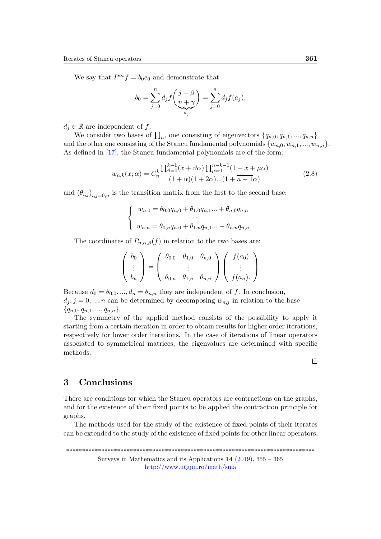We say that  $P^{\infty} f = b_0 e_0$  and demonstrate that

$$
b_0 = \sum_{j=0}^n d_j f\left(\frac{j+\beta}{\underbrace{n+\gamma}_{a_j}}\right) = \sum_{j=0}^n d_j f(a_j),
$$

 $d_i \in \mathbb{R}$  are independent of f.

We consider two bases of  $\prod_n$ , one consisting of eigenvectors  $\{q_{n,0}, q_{n,1}, ..., q_{n,n}\}$ and the other one consisting of the Stancu fundamental polynomials  $\{w_{n,0}, w_{n,1}, ..., w_{n,n}\}.$ As defined in [\[17\]](#page-9-8), the Stancu fundamental polynomials are of the form:

$$
w_{n,k}(x; \alpha) = C_n^k \frac{\prod_{\vartheta=0}^{k-1} (x + \vartheta \alpha) \prod_{\mu=0}^{n-k-1} (1 - x + \mu \alpha)}{(1 + \alpha)(1 + 2\alpha)...(1 + \overline{n-1}\alpha)}
$$
(2.8)

and  $(\theta_{i,j})_{i,j=\overline{0,n}}$  is the transition matrix from the first to the second base:

$$
\begin{cases}\nw_{n,0} = \theta_{0,0}q_{n,0} + \theta_{1,0}q_{n,1}... + \theta_{n,0}q_{n,n} \\
\dots \\
w_{n,n} = \theta_{0,n}q_{n,0} + \theta_{1,n}q_{n,1}... + \theta_{n,n}q_{n,n}\n\end{cases}
$$

The coordinates of  $P_{n,\alpha,\beta}(f)$  in relation to the two bases are:

$$
\begin{pmatrix} b_0 \\ \vdots \\ b_n \end{pmatrix} = \begin{pmatrix} \theta_{0,0} & \theta_{1,0} & \theta_{n,0} \\ \vdots & \vdots \\ \theta_{0,n} & \theta_{1,n} & \theta_{n,n} \end{pmatrix} \begin{pmatrix} f(a_0) \\ \vdots \\ f(a_n) \end{pmatrix}
$$

Because  $d_0 = \theta_{0,0},..., d_n = \theta_{n,n}$  they are independent of f. In conclusion,  $d_j, j = 0, ..., n$  can be determined by decomposing  $w_{n,j}$  in relation to the base  ${q_{n,0}, q_{n,1}, ..., q_{n,n}}.$ 

The symmetry of the applied method consists of the possibility to apply it starting from a certain iteration in order to obtain results for higher order iterations, respectively for lower order iterations. In the case of iterations of linear operators associated to symmetrical matrices, the eigenvalues are determined with specific methods.

### 3 Conclusions

There are conditions for which the Stancu operators are contractions on the graphs, and for the existence of their fixed points to be applied the contraction principle for graphs.

The methods used for the study of the existence of fixed points of their iterates can be extended to the study of the existence of fixed points for other linear operators,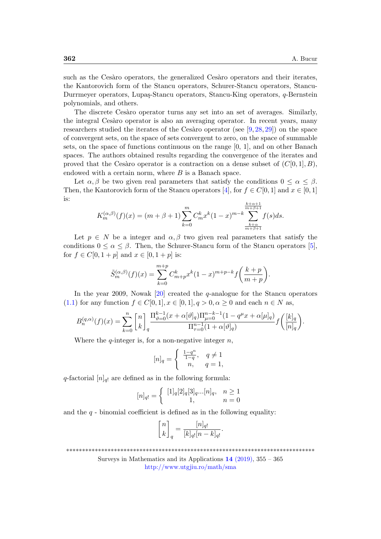such as the Cesàro operators, the generalized Cesàro operators and their iterates, the Kantorovich form of the Stancu operators, Schurer-Stancu operators, Stancu-Durrmeyer operators, Lupaş-Stancu operators, Stancu-King operators, q-Bernstein polynomials, and others.

The discrete Cesaro operator turns any set into an set of averages. Similarly, the integral Cesàro operator is also an averaging operator. In recent years, many researchers studied the iterates of the Cesàro operator (see  $[9, 28, 29]$  $[9, 28, 29]$  $[9, 28, 29]$  $[9, 28, 29]$  $[9, 28, 29]$ ) on the space of convergent sets, on the space of sets convergent to zero, on the space of summable sets, on the space of functions continuous on the range [0, 1], and on other Banach spaces. The authors obtained results regarding the convergence of the iterates and proved that the Cesàro operator is a contraction on a dense subset of  $(C[0, 1], B)$ , endowed with a certain norm, where  $B$  is a Banach space.

Let  $\alpha, \beta$  be two given real parameters that satisfy the conditions  $0 \leq \alpha \leq \beta$ . Then, the Kantorovich form of the Stancu operators [\[4\]](#page-8-7), for  $f \in C[0,1]$  and  $x \in [0,1]$ is:

$$
K_m^{(\alpha,\beta)}(f)(x) = (m+\beta+1) \sum_{k=0}^m C_m^k x^k (1-x)^{m-k} \sum_{\substack{k+\alpha+1 \\ m+\beta+1}}^{\frac{k+\alpha+1}{m+\beta+1}} f(s) ds.
$$

Let  $p \in N$  be a integer and  $\alpha, \beta$  two given real parameters that satisfy the conditions  $0 \le \alpha \le \beta$ . Then, the Schurer-Stancu form of the Stancu operators [\[5\]](#page-8-8), for  $f \in C[0, 1+p]$  and  $x \in [0, 1+p]$  is:

$$
\tilde{S}_{m}^{(\alpha,\beta)}(f)(x) = \sum_{k=0}^{m+p} C_{m+p}^{k} x^{k} (1-x)^{m+p-k} f\left(\frac{k+p}{m+p}\right).
$$

In the year 2009, Nowak [\[20\]](#page-9-13) created the q-analogue for the Stancu operators [\(1.1\)](#page-1-0) for any function  $f \in C[0,1], x \in [0,1], q > 0, \alpha \geq 0$  and each  $n \in N$  as,

$$
B_n^{(q,\alpha)}(f)(x) = \sum_{k=0}^n {n \brack k}_q \frac{\Pi_{\vartheta=0}^{k-1} (x + \alpha[\vartheta]_q) \Pi_{\mu=0}^{n-k-1} (1 - q^{\mu} x + \alpha[\mu]_q)}{\Pi_{\tau=0}^{n-1} (1 + \alpha[\vartheta]_q)} f\left(\frac{[k]_q}{[n]_q}\right).
$$

Where the  $q$ -integer is, for a non-negative integer  $n$ ,

$$
[n]_q = \begin{cases} \frac{1-q^n}{1-q}, & q \neq 1 \\ n, & q = 1, \end{cases}
$$

q-factorial  $[n]_{q}$  are defined as in the following formula:

$$
[n]_{q!} = \begin{cases} [1]_q [2]_q [3]_q ... [n]_q, & n \ge 1 \\ 1, & n = 0 \end{cases}
$$

and the  $q$  - binomial coefficient is defined as in the following equality:

$$
\begin{bmatrix} n \\ k \end{bmatrix}_q = \frac{[n]_{q!}}{[k]_{q!}[n-k]_{q!}}.
$$

<sup>\*\*\*\*\*\*\*\*\*\*\*\*\*\*\*\*\*\*\*\*\*\*\*\*\*\*\*\*\*\*\*\*\*\*\*\*\*\*\*\*\*\*\*\*\*\*\*\*\*\*\*\*\*\*\*\*\*\*\*\*\*\*\*\*\*\*\*\*\*\*\*\*\*\*\*\*\*\*</sup>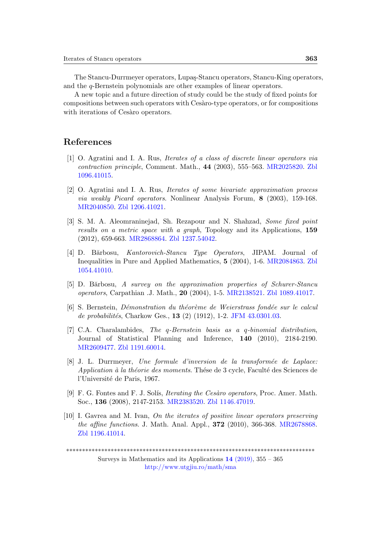The Stancu-Durrmeyer operators, Lupas-Stancu operators, Stancu-King operators, and the q-Bernstein polynomials are other examples of linear operators.

A new topic and a future direction of study could be the study of fixed points for compositions between such operators with Ces`aro-type operators, or for compositions with iterations of Cesàro operators.

### References

- <span id="page-8-0"></span>[1] O. Agratini and I. A. Rus, Iterates of a class of discrete linear operators via contraction principle, Comment. Math., 44 (2003), 555–563. [MR2025820.](http://www.ams.org/mathscinet-getitem?mr=2025820) [Zbl](https://zbmath.org/?q=an:1096.41015) [1096.41015.](https://zbmath.org/?q=an:1096.41015)
- <span id="page-8-1"></span>[2] O. Agratini and I. A. Rus, Iterates of some bivariate approximation process via weakly Picard operators. Nonlinear Analysis Forum, 8 (2003), 159-168. [MR2040850.](http://www.ams.org/mathscinet-getitem?mr=2040850) [Zbl 1206.41021.](https://zbmath.org/?q=an:1206.41021)
- <span id="page-8-2"></span>[3] S. M. A. Aleomraninejad, Sh. Rezapour and N. Shahzad, Some fixed point results on a metric space with a graph, Topology and its Applications, 159 (2012), 659-663. [MR2868864.](http://www.ams.org/mathscinet-getitem?mr=2868864) [Zbl 1237.54042.](https://zbmath.org/?q=an:1237.54042)
- <span id="page-8-7"></span>[4] D. Bărbosu, *Kantorovich-Stancu Type Operators*, JIPAM. Journal of Inequalities in Pure and Applied Mathematics, 5 (2004), 1-6. [MR2084863.](http://www.ams.org/mathscinet-getitem?mr=2084863) [Zbl](https://zbmath.org/?q=an:1054.41010) [1054.41010.](https://zbmath.org/?q=an:1054.41010)
- <span id="page-8-8"></span>[5] D. Bărbosu, A survey on the approximation properties of Schurer-Stancu operators, Carpathian .J. Math., 20 (2004), 1-5. [MR2138521.](http://www.ams.org/mathscinet-getitem?mr=2138521) [Zbl 1089.41017.](https://zbmath.org/?q=an:1089.41017)
- <span id="page-8-3"></span>[6] S. Bernstein, D´emonstration du th´eor`eme de Weierstrass fond´ee sur le calcul de probabilités, Charkow Ges.,  $13$  (2) (1912), 1-2. [JFM 43.0301.03.](https://zbmath.org/?q=an:43.0301.03)
- <span id="page-8-4"></span>[7] C.A. Charalambides, The q-Bernstein basis as a q-binomial distribution, Journal of Statistical Planning and Inference, 140 (2010), 2184-2190. [MR2609477.](http://www.ams.org/mathscinet-getitem?mr=2609477) [Zbl 1191.60014.](https://zbmath.org/?q=an:1191.60014)
- [8] J. L. Durrmeyer, Une formule d'inversion de la transformée de Laplace: Application à la théorie des moments. Thése de 3 cycle, Faculté des Sciences de l'Université de Paris, 1967.
- <span id="page-8-6"></span>[9] F. G. Fontes and F. J. Solís, *Iterating the Cesàro operators*, Proc. Amer. Math. Soc., 136 (2008), 2147-2153. [MR2383520.](http://www.ams.org/mathscinet-getitem?mr=2383520) [Zbl 1146.47019.](https://zbmath.org/?q=an:1146.47019)
- <span id="page-8-5"></span>[10] I. Gavrea and M. Ivan, On the iterates of positive linear operators preserving the affine functions. J. Math. Anal. Appl., 372 (2010), 366-368. [MR2678868.](http://www.ams.org/mathscinet-getitem?mr=2678868) [Zbl 1196.41014.](https://zbmath.org/?q=an:1196.41014)

<sup>\*\*\*\*\*\*\*\*\*\*\*\*\*\*\*\*\*\*\*\*\*\*\*\*\*\*\*\*\*\*\*\*\*\*\*\*\*\*\*\*\*\*\*\*\*\*\*\*\*\*\*\*\*\*\*\*\*\*\*\*\*\*\*\*\*\*\*\*\*\*\*\*\*\*\*\*\*\*</sup>

Surveys in Mathematics and its Applications  $14$  [\(2019\),](http://www.utgjiu.ro/math/sma/v14/v14.html) 355 – 365 <http://www.utgjiu.ro/math/sma>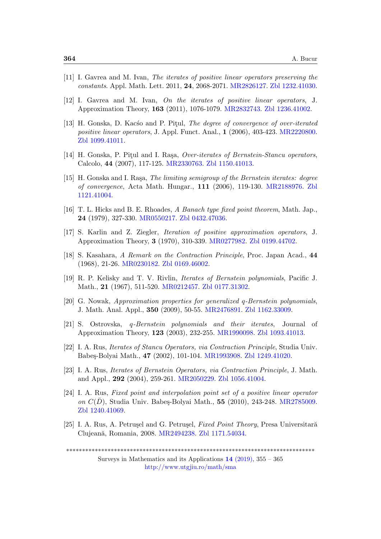- <span id="page-9-5"></span>[11] I. Gavrea and M. Ivan, The iterates of positive linear operators preserving the constants. Appl. Math. Lett. 2011, 24, 2068-2071. [MR2826127.](http://www.ams.org/mathscinet-getitem?mr=2826127) [Zbl 1232.41030.](https://zbmath.org/?q=an:1232.41030)
- <span id="page-9-6"></span>[12] I. Gavrea and M. Ivan, On the iterates of positive linear operators, J. Approximation Theory, 163 (2011), 1076-1079. [MR2832743.](http://www.ams.org/mathscinet-getitem?mr=2832743) [Zbl 1236.41002.](https://zbmath.org/?q=an:1236.41002)
- <span id="page-9-7"></span>[13] H. Gonska, D. Kacso and P. Pitul, *The degree of convergence of over-iterated* positive linear operators, J. Appl. Funct. Anal., 1 (2006), 403-423. [MR2220800.](http://www.ams.org/mathscinet-getitem?mr=2220800) [Zbl 1099.41011.](https://zbmath.org/?q=an:1099.41011)
- <span id="page-9-2"></span>[14] H. Gonska, P. Pitul and I. Rașa, Over-iterates of Bernstein-Stancu operators, Calcolo, 44 (2007), 117-125. [MR2330763.](http://www.ams.org/mathscinet-getitem?mr=2330763) [Zbl 1150.41013.](https://zbmath.org/?q=an:1150.41013)
- <span id="page-9-9"></span>[15] H. Gonska and I. Raşa, The limiting semigroup of the Bernstein iterates: degree of convergence, Acta Math. Hungar., 111 (2006), 119-130. [MR2188976.](http://www.ams.org/mathscinet-getitem?mr=2188976) [Zbl](https://zbmath.org/?q=an:1121.41004) [1121.41004.](https://zbmath.org/?q=an:1121.41004)
- <span id="page-9-12"></span>[16] T. L. Hicks and B. E. Rhoades, A Banach type fixed point theorem, Math. Jap., 24 (1979), 327-330. [MR0550217.](http://www.ams.org/mathscinet-getitem?mr=0550217) [Zbl 0432.47036.](https://zbmath.org/?q=an:0432.47036)
- <span id="page-9-8"></span>[17] S. Karlin and Z. Ziegler, Iteration of positive approximation operators, J. Approximation Theory, 3 (1970), 310-339. [MR0277982.](http://www.ams.org/mathscinet-getitem?mr=0277982) [Zbl 0199.44702.](https://zbmath.org/?q=an:0199.44702)
- <span id="page-9-11"></span>[18] S. Kasahara, A Remark on the Contraction Principle, Proc. Japan Acad., 44 (1968), 21-26. [MR0230182.](http://www.ams.org/mathscinet-getitem?mr=0230182) [Zbl 0169.46002.](https://zbmath.org/?q=an:0169.46002)
- <span id="page-9-3"></span>[19] R. P. Kelisky and T. V. Rivlin, Iterates of Bernstein polynomials, Pacific J. Math., 21 (1967), 511-520. [MR0212457.](http://www.ams.org/mathscinet-getitem?mr=0212457) [Zbl 0177.31302.](https://zbmath.org/?q=an:0177.31302)
- <span id="page-9-13"></span>[20] G. Nowak, Approximation properties for generalized q-Bernstein polynomials, J. Math. Anal. Appl., 350 (2009), 50-55. [MR2476891.](http://www.ams.org/mathscinet-getitem?mr=2476891) [Zbl 1162.33009.](https://zbmath.org/?q=an:1162.33009)
- [21] S. Ostrovska, q-Bernstein polynomials and their iterates, Journal of Approximation Theory, 123 (2003), 232-255. [MR1990098.](http://www.ams.org/mathscinet-getitem?mr=1990098) [Zbl 1093.41013.](https://zbmath.org/?q=an:1093.41013)
- <span id="page-9-0"></span>[22] I. A. Rus, Iterates of Stancu Operators, via Contraction Principle, Studia Univ. Babe¸s-Bolyai Math., 47 (2002), 101-104. [MR1993908.](http://www.ams.org/mathscinet-getitem?mr=1993908) [Zbl 1249.41020.](https://zbmath.org/?q=an:1249.41020)
- <span id="page-9-4"></span>[23] I. A. Rus, Iterates of Bernstein Operators, via Contraction Principle, J. Math. and Appl., 292 (2004), 259-261. [MR2050229.](http://www.ams.org/mathscinet-getitem?mr=2050229) [Zbl 1056.41004.](https://zbmath.org/?q=an:1056.41004)
- <span id="page-9-1"></span>[24] I. A. Rus, Fixed point and interpolation point set of a positive linear operator on  $C(D)$ , Studia Univ. Babeş-Bolyai Math., 55 (2010), 243-248. [MR2785009.](http://www.ams.org/mathscinet-getitem?mr=2785009) [Zbl 1240.41069.](https://zbmath.org/?q=an:1240.41069)
- <span id="page-9-10"></span>[25] I. A. Rus, A. Petrusel and G. Petrusel, Fixed Point Theory, Presa Universitară Clujeană, Romania, 2008. [MR2494238.](http://www.ams.org/mathscinet-getitem?mr=2494238) [Zbl 1171.54034.](https://zbmath.org/?q=an:1171.54034)

\*\*\*\*\*\*\*\*\*\*\*\*\*\*\*\*\*\*\*\*\*\*\*\*\*\*\*\*\*\*\*\*\*\*\*\*\*\*\*\*\*\*\*\*\*\*\*\*\*\*\*\*\*\*\*\*\*\*\*\*\*\*\*\*\*\*\*\*\*\*\*\*\*\*\*\*\*\*